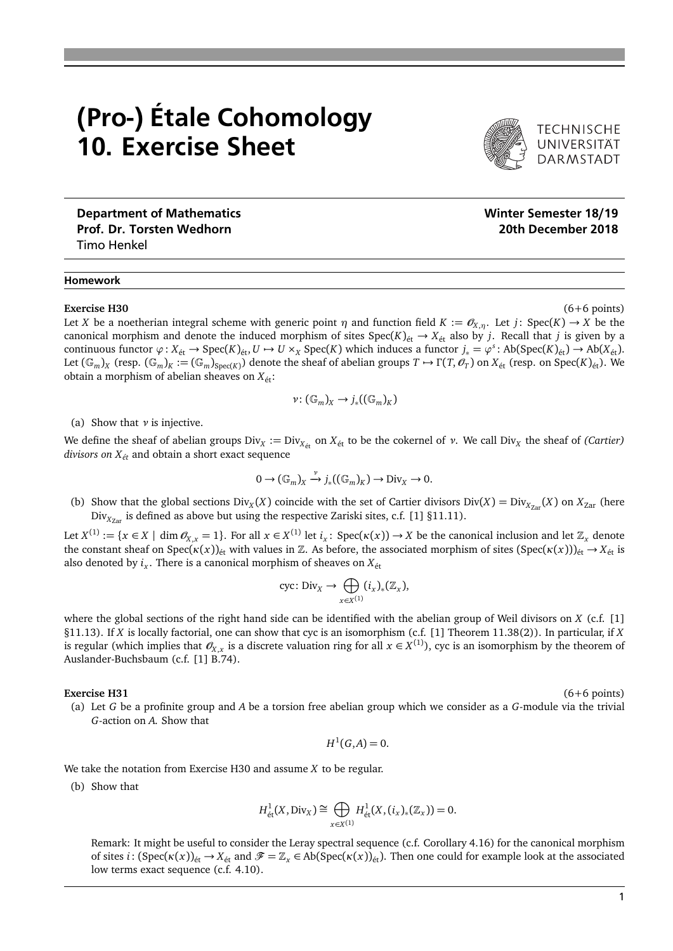## (Pro-) Étale Cohomology 10. Exercise Sheet

Prof. Dr. Torsten Wedhorn 2018 (2018) 20th December 2018 Timo Henkel

### Homework

#### **Exercise H30** (6+6 points)

Let *X* be a noetherian integral scheme with generic point  $\eta$  and function field  $K := \mathcal{O}_{X,\eta}$ . Let *j*: Spec(*K*)  $\to X$  be the canonical morphism and denote the induced morphism of sites  $Spec(K)_{\text{\'et}} \to X_{\text{\'et}}$  also by *j*. Recall that *j* is given by a continuous functor  $\varphi: X_{\text{\'et}} \to \text{Spec}(K)_{\text{\'et}}, U \mapsto U \times_X \text{Spec}(K)$  which induces a functor  $j_* = \varphi^s: \text{Ab}(\text{Spec}(K)_{\text{\'et}}) \to \text{Ab}(X_{\text{\'et}})$ . Let  $(\mathbb{G}_m)_X$  (resp.  $(\mathbb{G}_m)_K := (\mathbb{G}_m)_{\text{Spec}(K)}$ ) denote the sheaf of abelian groups  $T \to \Gamma(T, \mathscr{O}_T)$  on  $X_{\text{\'et}}$  (resp. on Spec $(K)_{\text{\'et}}$ ). We obtain a morphism of abelian sheaves on  $X_{\text{\'et}}$ :

$$
\nu\colon (\mathbb{G}_m)_X\to j_*((\mathbb{G}_m)_K)
$$

(a) Show that *ν* is injective.

We define the sheaf of abelian groups Div<sub>*X*</sub> := Div<sub>*X*<sub>ét</sub></sub> on *X*<sub>ét</sub> to be the cokernel of *ν*. We call Div<sub>*X*</sub> the sheaf of *(Cartier) divisors on Xét* and obtain a short exact sequence

$$
0 \to (\mathbb{G}_m)_X \xrightarrow{\nu} j_*((\mathbb{G}_m)_K) \to \text{Div}_X \to 0.
$$

(b) Show that the global sections  $Div_X(X)$  coincide with the set of Cartier divisors  $Div(X) = Div_{X_{Zar}}(X)$  on  $X_{Zar}$  (here Div<sub>Xzar</sub> is defined as above but using the respective Zariski sites, c.f. [1] §11.11).

Let  $X^{(1)} := \{x \in X \mid \dim \mathcal{O}_{X,x} = 1\}$ . For all  $x \in X^{(1)}$  let  $i_x$ : Spec( $\kappa(x)$ )  $\to X$  be the canonical inclusion and let  $\mathbb{Z}_x$  denote the constant sheaf on Spec( $\kappa(x)$ )<sub>ét</sub> with values in Z. As before, the associated morphism of sites (Spec( $\kappa(x)$ ))<sub>ét</sub>  $\rightarrow$   $X_{\text{\'et}}$  is also denoted by  $i_x$ . There is a canonical morphism of sheaves on  $X_{\text{\'et}}$ 

$$
\operatorname{cyc} \colon \operatorname{Div}_X \to \bigoplus_{x \in X^{(1)}} (i_x)_* (\mathbb{Z}_x),
$$

where the global sections of the right hand side can be identified with the abelian group of Weil divisors on *X* (c.f. [1] §11.13). If *X* is locally factorial, one can show that cyc is an isomorphism (c.f. [1] Theorem 11.38(2)). In particular, if *X* is regular (which implies that  $\mathscr{O}_{X,x}$  is a discrete valuation ring for all  $x\in X^{(1)}$ ), cyc is an isomorphism by the theorem of Auslander-Buchsbaum (c.f. [1] B.74).

#### **Exercise H31** (6+6 points)

(a) Let *G* be a profinite group and *A* be a torsion free abelian group which we consider as a *G*-module via the trivial *G*-action on *A*. Show that

$$
H^1(G,A)=0.
$$

We take the notation from Exercise H30 and assume *X* to be regular.

(b) Show that

$$
H^1_{\text{\'et}}(X,\mathrm{Div}_X)\cong\bigoplus_{x\in X^{(1)}}H^1_{\text{\'et}}(X,(i_x)_*(\mathbb{Z}_x))=0.
$$

Remark: It might be useful to consider the Leray spectral sequence (c.f. Corollary 4.16) for the canonical morphism of sites *i*:  $(Spec(\kappa(x))_{\text{\'et}} \to X_{\text{\'et}}$  and  $\mathscr{F} = \mathbb{Z}_x \in Ab(Spec(\kappa(x))_{\text{\'et}})$ . Then one could for example look at the associated low terms exact sequence (c.f. 4.10).

# Department of Mathematics Number of Mathematics Number of Mathematics Number of Mathematics Number of Mathematics

**DARMSTADT**